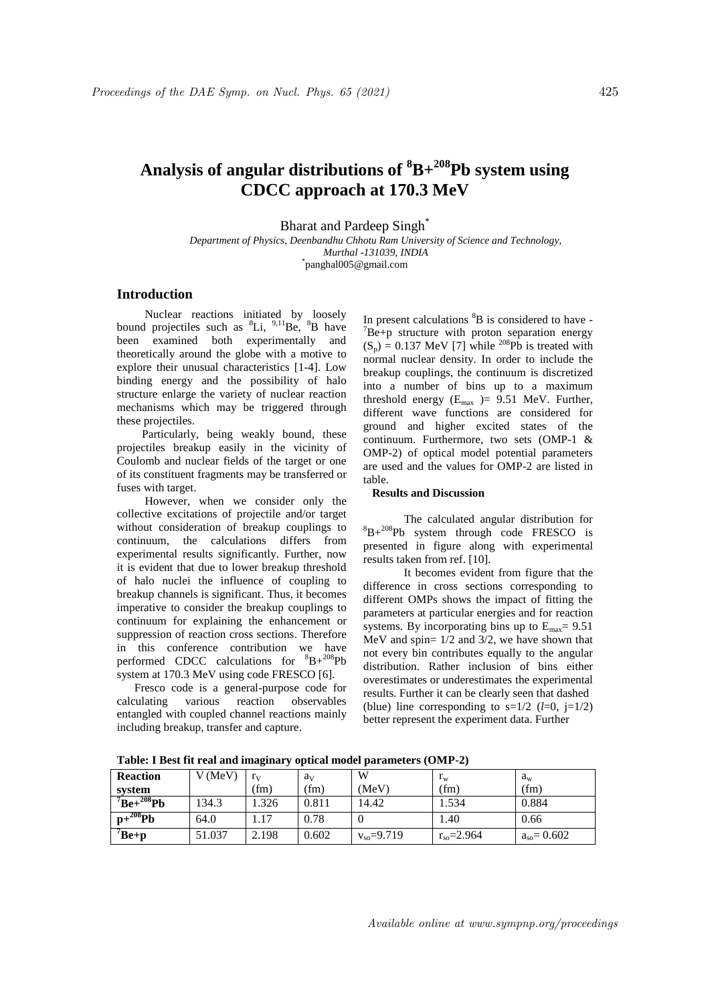# **Analysis of angular distributions of <sup>8</sup>B+<sup>208</sup>Pb system using CDCC approach at 170.3 MeV**

Bharat and Pardeep Singh<sup>\*</sup>

*Department of Physics, Deenbandhu Chhotu Ram University of Science and Technology, Murthal -131039, INDIA* \* panghal005@gmail.com

## **Introduction**

Nuclear reactions initiated by loosely bound projectiles such as  ${}^{8}Li$ ,  ${}^{9,11}Be$ ,  ${}^{8}B$  have been examined both experimentally and theoretically around the globe with a motive to explore their unusual characteristics [1-4]. Low binding energy and the possibility of halo structure enlarge the variety of nuclear reaction mechanisms which may be triggered through these projectiles.

Particularly, being weakly bound, these projectiles breakup easily in the vicinity of Coulomb and nuclear fields of the target or one of its constituent fragments may be transferred or fuses with target.

However, when we consider only the collective excitations of projectile and/or target without consideration of breakup couplings to continuum, the calculations differs from experimental results significantly. Further, now it is evident that due to lower breakup threshold of halo nuclei the influence of coupling to breakup channels is significant. Thus, it becomes imperative to consider the breakup couplings to continuum for explaining the enhancement or suppression of reaction cross sections. Therefore in this conference contribution we have performed CDCC calculations for  ${}^{8}B+{}^{208}Pb$ system at 170.3 MeV using code FRESCO [6].

 Fresco code is a general-purpose code for calculating various reaction observables entangled with coupled channel reactions mainly including breakup, transfer and capture.

In present calculations  ${}^{8}B$  is considered to have - $\mathrm{^7Be}$ +p structure with proton separation energy  $(S_p) = 0.137$  MeV [7] while <sup>208</sup>Pb is treated with normal nuclear density. In order to include the breakup couplings, the continuum is discretized into a number of bins up to a maximum threshold energy  $(E_{\text{max}}) = 9.51$  MeV. Further, different wave functions are considered for ground and higher excited states of the continuum. Furthermore, two sets (OMP-1 & OMP-2) of optical model potential parameters are used and the values for OMP-2 are listed in table.

#### **Results and Discussion**

The calculated angular distribution for  ${}^{8}B+{}^{208}Pb$  system through code FRESCO is presented in figure along with experimental results taken from ref. [10].

 It becomes evident from figure that the difference in cross sections corresponding to different OMPs shows the impact of fitting the parameters at particular energies and for reaction systems. By incorporating bins up to  $E_{\text{max}}$  = 9.51 MeV and spin= 1/2 and 3/2, we have shown that not every bin contributes equally to the angular distribution. Rather inclusion of bins either overestimates or underestimates the experimental results. Further it can be clearly seen that dashed (blue) line corresponding to  $s=1/2$  ( $l=0$ ,  $i=1/2$ ) better represent the experiment data. Further

**Table: I Best fit real and imaginary optical model parameters (OMP-2)**

| <b>Reaction</b>           | V (MeV) | $r_{V}$ | a <sub>v</sub> | W                    | $r_{\rm w}$          | $a_w$            |
|---------------------------|---------|---------|----------------|----------------------|----------------------|------------------|
| svstem                    |         | (fm)    | (fm)           | (MeV)                | (fm)                 | (fm)             |
| $B_{\rm}e+^{208}P_{\rm}b$ | 134.3   | .326    | 0.811          | 14.42                | 1.534                | 0.884            |
| $p+^{208}Pb$              | 64.0    | 1.17    | 0.78           |                      | 1.40                 | 0.66             |
| $\overline{^7Be+p}$       | 51.037  | 2.198   | 0.602          | $v_{\rm so} = 9.719$ | $r_{\rm so} = 2.964$ | $a_{so} = 0.602$ |